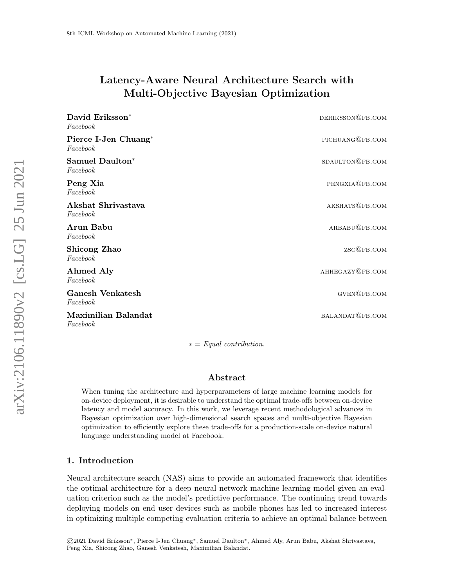# Latency-Aware Neural Architecture Search with Multi-Objective Bayesian Optimization

| David Eriksson <sup>*</sup><br>Facebook | DERIKSSON@FB.COM       |
|-----------------------------------------|------------------------|
| Pierce I-Jen Chuang*<br>Facebook        | PICHUANG@FB.COM        |
| Samuel Daulton*<br>Facebook             | SDAULTON@FB.COM        |
| Peng Xia<br>Facebook                    | PENGXIA@FB.COM         |
| Akshat Shrivastava<br>Facebook          | AKSHATS@FB.COM         |
| Arun Babu<br>Facebook                   | ARBABU@FB. COM         |
| Shicong Zhao<br>Facebook                | ZSC@FB.COM             |
| Ahmed Aly<br>Facebook                   | AHHEGAZY@FB.COM        |
| <b>Ganesh Venkatesh</b><br>Facebook     | $\textsc{gven@FB.com}$ |
| Maximilian Balandat<br>Facebook         | BALANDAT@FB.COM        |

 $* = Equal contribution.$ 

### Abstract

When tuning the architecture and hyperparameters of large machine learning models for on-device deployment, it is desirable to understand the optimal trade-offs between on-device latency and model accuracy. In this work, we leverage recent methodological advances in Bayesian optimization over high-dimensional search spaces and multi-objective Bayesian optimization to efficiently explore these trade-offs for a production-scale on-device natural language understanding model at Facebook.

### 1. Introduction

Neural architecture search (NAS) aims to provide an automated framework that identifies the optimal architecture for a deep neural network machine learning model given an evaluation criterion such as the model's predictive performance. The continuing trend towards deploying models on end user devices such as mobile phones has led to increased interest in optimizing multiple competing evaluation criteria to achieve an optimal balance between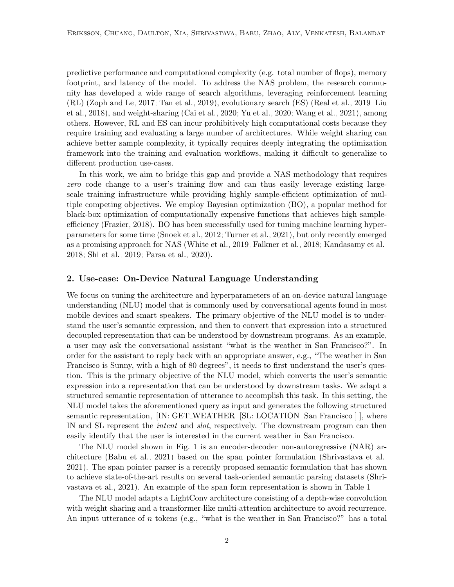predictive performance and computational complexity (e.g. total number of flops), memory footprint, and latency of the model. To address the NAS problem, the research community has developed a wide range of search algorithms, leveraging reinforcement learning (RL) [\(Zoph and Le, 2017;](#page-8-0) [Tan et al., 2019\)](#page-7-0), evolutionary search (ES) [\(Real et al., 2019;](#page-7-1) [Liu](#page-7-2) [et al., 2018\)](#page-7-2), and weight-sharing [\(Cai et al., 2020;](#page-6-0) [Yu et al., 2020;](#page-8-1) [Wang et al., 2021\)](#page-7-3), among others. However, RL and ES can incur prohibitively high computational costs because they require training and evaluating a large number of architectures. While weight sharing can achieve better sample complexity, it typically requires deeply integrating the optimization framework into the training and evaluation workflows, making it difficult to generalize to different production use-cases.

In this work, we aim to bridge this gap and provide a NAS methodology that requires zero code change to a user's training flow and can thus easily leverage existing largescale training infrastructure while providing highly sample-efficient optimization of multiple competing objectives. We employ Bayesian optimization (BO), a popular method for black-box optimization of computationally expensive functions that achieves high sampleefficiency [\(Frazier, 2018\)](#page-6-1). BO has been successfully used for tuning machine learning hyperparameters for some time [\(Snoek et al., 2012;](#page-7-4) [Turner et al., 2021\)](#page-7-5), but only recently emerged as a promising approach for NAS [\(White et al., 2019;](#page-7-6) [Falkner et al., 2018;](#page-6-2) [Kandasamy et al.,](#page-6-3) [2018;](#page-6-3) [Shi et al., 2019;](#page-7-7) [Parsa et al., 2020\)](#page-7-8).

#### <span id="page-1-0"></span>2. Use-case: On-Device Natural Language Understanding

We focus on tuning the architecture and hyperparameters of an on-device natural language understanding (NLU) model that is commonly used by conversational agents found in most mobile devices and smart speakers. The primary objective of the NLU model is to understand the user's semantic expression, and then to convert that expression into a structured decoupled representation that can be understood by downstream programs. As an example, a user may ask the conversational assistant "what is the weather in San Francisco?". In order for the assistant to reply back with an appropriate answer, e.g., "The weather in San Francisco is Sunny, with a high of 80 degrees", it needs to first understand the user's question. This is the primary objective of the NLU model, which converts the user's semantic expression into a representation that can be understood by downstream tasks. We adapt a structured semantic representation of utterance to accomplish this task. In this setting, the NLU model takes the aforementioned query as input and generates the following structured semantic representation, [IN: GET WEATHER [SL: LOCATION San Francisco ] ], where IN and SL represent the *intent* and *slot*, respectively. The downstream program can then easily identify that the user is interested in the current weather in San Francisco.

The NLU model shown in Fig. [1](#page-2-0) is an encoder-decoder non-autoregressive (NAR) architecture [\(Babu et al., 2021\)](#page-6-4) based on the span pointer formulation [\(Shrivastava et al.,](#page-7-9) [2021\)](#page-7-9). The span pointer parser is a recently proposed semantic formulation that has shown to achieve state-of-the-art results on several task-oriented semantic parsing datasets [\(Shri](#page-7-9)[vastava et al., 2021\)](#page-7-9). An example of the span form representation is shown in Table [1.](#page-2-1)

The NLU model adapts a LightConv architecture consisting of a depth-wise convolution with weight sharing and a transformer-like multi-attention architecture to avoid recurrence. An input utterance of n tokens (e.g., "what is the weather in San Francisco?" has a total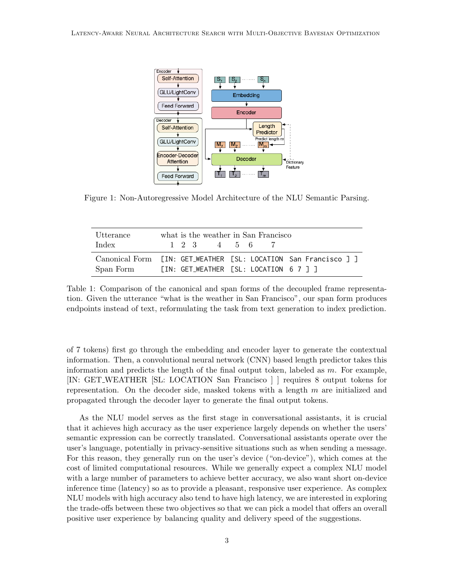<span id="page-2-0"></span>

Figure 1: Non-Autoregressive Model Architecture of the NLU Semantic Parsing.

<span id="page-2-1"></span>

| Utterance | what is the weather in San Francisco                                                                      |
|-----------|-----------------------------------------------------------------------------------------------------------|
| Index     | $1 \t2 \t3 \t4 \t5 \t6$                                                                                   |
| Span Form | Canonical Form [IN: GET_WEATHER [SL: LOCATION San Francisco ] ]<br>TIN: GET_WEATHER TSL: LOCATION 6 7 7 7 |

Table 1: Comparison of the canonical and span forms of the decoupled frame representation. Given the utterance "what is the weather in San Francisco", our span form produces endpoints instead of text, reformulating the task from text generation to index prediction.

of 7 tokens) first go through the embedding and encoder layer to generate the contextual information. Then, a convolutional neural network (CNN) based length predictor takes this information and predicts the length of the final output token, labeled as  $m$ . For example, [IN: GET WEATHER [SL: LOCATION San Francisco ] ] requires 8 output tokens for representation. On the decoder side, masked tokens with a length  $m$  are initialized and propagated through the decoder layer to generate the final output tokens.

As the NLU model serves as the first stage in conversational assistants, it is crucial that it achieves high accuracy as the user experience largely depends on whether the users' semantic expression can be correctly translated. Conversational assistants operate over the user's language, potentially in privacy-sensitive situations such as when sending a message. For this reason, they generally run on the user's device ("on-device"), which comes at the cost of limited computational resources. While we generally expect a complex NLU model with a large number of parameters to achieve better accuracy, we also want short on-device inference time (latency) so as to provide a pleasant, responsive user experience. As complex NLU models with high accuracy also tend to have high latency, we are interested in exploring the trade-offs between these two objectives so that we can pick a model that offers an overall positive user experience by balancing quality and delivery speed of the suggestions.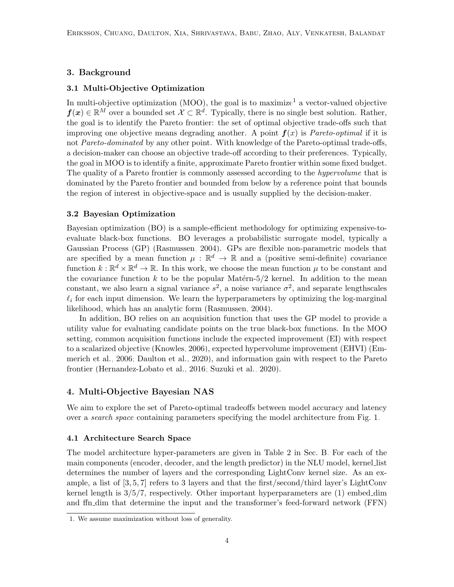### <span id="page-3-2"></span>3. Background

#### 3.1 Multi-Objective Optimization

In multi-objective optimization  $(MOO)$ , the goal is to maximize<sup>[1](#page-3-0)</sup> a vector-valued objective  $f(x) \in \mathbb{R}^M$  over a bounded set  $\mathcal{X} \subset \mathbb{R}^d$ . Typically, there is no single best solution. Rather, the goal is to identify the Pareto frontier: the set of optimal objective trade-offs such that improving one objective means degrading another. A point  $f(x)$  is *Pareto-optimal* if it is not Pareto-dominated by any other point. With knowledge of the Pareto-optimal trade-offs, a decision-maker can choose an objective trade-off according to their preferences. Typically, the goal in MOO is to identify a finite, approximate Pareto frontier within some fixed budget. The quality of a Pareto frontier is commonly assessed according to the *hypervolume* that is dominated by the Pareto frontier and bounded from below by a reference point that bounds the region of interest in objective-space and is usually supplied by the decision-maker.

#### <span id="page-3-1"></span>3.2 Bayesian Optimization

Bayesian optimization (BO) is a sample-efficient methodology for optimizing expensive-toevaluate black-box functions. BO leverages a probabilistic surrogate model, typically a Gaussian Process (GP) [\(Rasmussen, 2004\)](#page-7-10). GPs are flexible non-parametric models that are specified by a mean function  $\mu : \mathbb{R}^d \to \mathbb{R}$  and a (positive semi-definite) covariance function  $k: \mathbb{R}^d \times \mathbb{R}^d \to \mathbb{R}$ . In this work, we choose the mean function  $\mu$  to be constant and the covariance function  $k$  to be the popular Matérn-5/2 kernel. In addition to the mean constant, we also learn a signal variance  $s^2$ , a noise variance  $\sigma^2$ , and separate lengthscales  $\ell_i$  for each input dimension. We learn the hyperparameters by optimizing the log-marginal likelihood, which has an analytic form [\(Rasmussen, 2004\)](#page-7-10).

In addition, BO relies on an acquisition function that uses the GP model to provide a utility value for evaluating candidate points on the true black-box functions. In the MOO setting, common acquisition functions include the expected improvement (EI) with respect to a scalarized objective [\(Knowles, 2006\)](#page-7-11), expected hypervolume improvement (EHVI) [\(Em](#page-6-5)[merich et al., 2006;](#page-6-5) [Daulton et al., 2020\)](#page-6-6), and information gain with respect to the Pareto frontier [\(Hernandez-Lobato et al., 2016;](#page-6-7) [Suzuki et al., 2020\)](#page-7-12).

#### <span id="page-3-3"></span>4. Multi-Objective Bayesian NAS

We aim to explore the set of Pareto-optimal tradeoffs between model accuracy and latency over a *search space* containing parameters specifying the model architecture from Fig. [1.](#page-2-0)

#### 4.1 Architecture Search Space

The model architecture hyper-parameters are given in Table [2](#page-10-0) in Sec. [B.](#page-1-0) For each of the main components (encoder, decoder, and the length predictor) in the NLU model, kernel list determines the number of layers and the corresponding LightConv kernel size. As an example, a list of [3, 5, 7] refers to 3 layers and that the first/second/third layer's LightConv kernel length is 3/5/7, respectively. Other important hyperparameters are (1) embed dim and ffn dim that determine the input and the transformer's feed-forward network (FFN)

<span id="page-3-0"></span><sup>1.</sup> We assume maximization without loss of generality.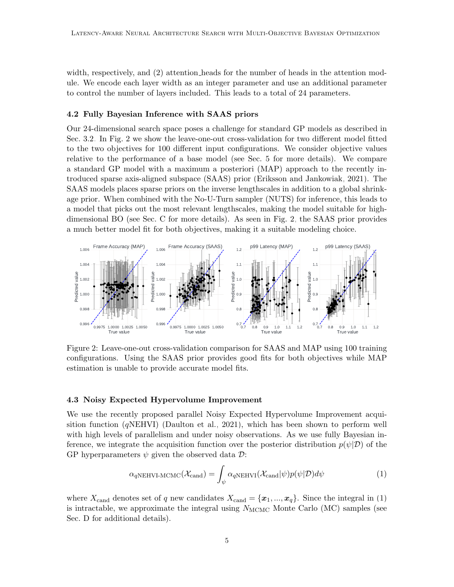width, respectively, and (2) attention heads for the number of heads in the attention module. We encode each layer width as an integer parameter and use an additional parameter to control the number of layers included. This leads to a total of 24 parameters.

#### 4.2 Fully Bayesian Inference with SAAS priors

Our 24-dimensional search space poses a challenge for standard GP models as described in Sec. [3.2.](#page-3-1) In Fig. [2](#page-4-0) we show the leave-one-out cross-validation for two different model fitted to the two objectives for 100 different input configurations. We consider objective values relative to the performance of a base model (see Sec. [5](#page-5-0) for more details). We compare a standard GP model with a maximum a posteriori (MAP) approach to the recently introduced sparse axis-aligned subspace (SAAS) prior [\(Eriksson and Jankowiak, 2021\)](#page-6-8). The SAAS models places sparse priors on the inverse lengthscales in addition to a global shrinkage prior. When combined with the No-U-Turn sampler (NUTS) for inference, this leads to a model that picks out the most relevant lengthscales, making the model suitable for highdimensional BO (see Sec. [C](#page-3-2) for more details). As seen in Fig. [2,](#page-4-0) the SAAS prior provides a much better model fit for both objectives, making it a suitable modeling choice.

<span id="page-4-0"></span>

Figure 2: Leave-one-out cross-validation comparison for SAAS and MAP using 100 training configurations. Using the SAAS prior provides good fits for both objectives while MAP estimation is unable to provide accurate model fits.

# 4.3 Noisy Expected Hypervolume Improvement

We use the recently proposed parallel Noisy Expected Hypervolume Improvement acquisition function  $(qNEHVI)$  [\(Daulton et al., 2021\)](#page-6-9), which has been shown to perform well with high levels of parallelism and under noisy observations. As we use fully Bayesian inference, we integrate the acquisition function over the posterior distribution  $p(\psi|\mathcal{D})$  of the GP hyperparameters  $\psi$  given the observed data  $\mathcal{D}$ :

<span id="page-4-1"></span>
$$
\alpha_{qNEHVI\text{-}MCMC}(\mathcal{X}_{\text{cand}}) = \int_{\psi} \alpha_{qNEHVI}(\mathcal{X}_{\text{cand}}|\psi)p(\psi|\mathcal{D})d\psi \tag{1}
$$

where  $X_{\text{cand}}$  denotes set of q new candidates  $X_{\text{cand}} = \{x_1, ..., x_q\}$ . Since the integral in [\(1\)](#page-4-1) is intractable, we approximate the integral using  $N_{\text{MCMC}}$  Monte Carlo (MC) samples (see Sec. [D](#page-3-3) for additional details).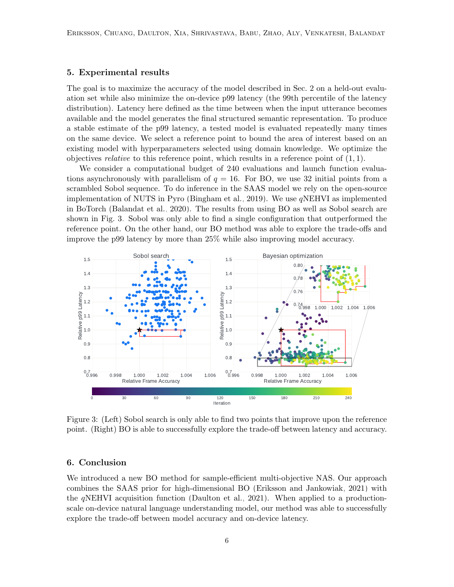# <span id="page-5-0"></span>5. Experimental results

The goal is to maximize the accuracy of the model described in Sec. [2](#page-1-0) on a held-out evaluation set while also minimize the on-device p99 latency (the 99th percentile of the latency distribution). Latency here defined as the time between when the input utterance becomes available and the model generates the final structured semantic representation. To produce a stable estimate of the p99 latency, a tested model is evaluated repeatedly many times on the same device. We select a reference point to bound the area of interest based on an existing model with hyperparameters selected using domain knowledge. We optimize the objectives *relative* to this reference point, which results in a reference point of  $(1, 1)$ .

We consider a computational budget of 240 evaluations and launch function evaluations asynchronously with parallelism of  $q = 16$ . For BO, we use 32 initial points from a scrambled Sobol sequence. To do inference in the SAAS model we rely on the open-source implementation of NUTS in Pyro [\(Bingham et al., 2019\)](#page-6-10). We use  $qNEHVI$  as implemented in BoTorch [\(Balandat et al., 2020\)](#page-6-11). The results from using BO as well as Sobol search are shown in Fig. [3.](#page-5-1) Sobol was only able to find a single configuration that outperformed the reference point. On the other hand, our BO method was able to explore the trade-offs and improve the p99 latency by more than 25% while also improving model accuracy.

<span id="page-5-1"></span>

Figure 3: (Left) Sobol search is only able to find two points that improve upon the reference point. (Right) BO is able to successfully explore the trade-off between latency and accuracy.

# 6. Conclusion

We introduced a new BO method for sample-efficient multi-objective NAS. Our approach combines the SAAS prior for high-dimensional BO [\(Eriksson and Jankowiak, 2021\)](#page-6-8) with the  $qNEHVI$  acquisition function [\(Daulton et al., 2021\)](#page-6-9). When applied to a productionscale on-device natural language understanding model, our method was able to successfully explore the trade-off between model accuracy and on-device latency.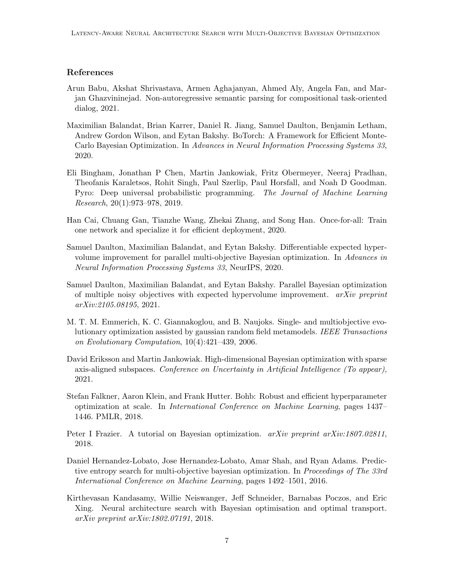# References

- <span id="page-6-4"></span>Arun Babu, Akshat Shrivastava, Armen Aghajanyan, Ahmed Aly, Angela Fan, and Marjan Ghazvininejad. Non-autoregressive semantic parsing for compositional task-oriented dialog, 2021.
- <span id="page-6-11"></span>Maximilian Balandat, Brian Karrer, Daniel R. Jiang, Samuel Daulton, Benjamin Letham, Andrew Gordon Wilson, and Eytan Bakshy. BoTorch: A Framework for Efficient Monte-Carlo Bayesian Optimization. In Advances in Neural Information Processing Systems 33, 2020.
- <span id="page-6-10"></span>Eli Bingham, Jonathan P Chen, Martin Jankowiak, Fritz Obermeyer, Neeraj Pradhan, Theofanis Karaletsos, Rohit Singh, Paul Szerlip, Paul Horsfall, and Noah D Goodman. Pyro: Deep universal probabilistic programming. The Journal of Machine Learning Research, 20(1):973–978, 2019.
- <span id="page-6-0"></span>Han Cai, Chuang Gan, Tianzhe Wang, Zhekai Zhang, and Song Han. Once-for-all: Train one network and specialize it for efficient deployment, 2020.
- <span id="page-6-6"></span>Samuel Daulton, Maximilian Balandat, and Eytan Bakshy. Differentiable expected hypervolume improvement for parallel multi-objective Bayesian optimization. In Advances in Neural Information Processing Systems 33, NeurIPS, 2020.
- <span id="page-6-9"></span>Samuel Daulton, Maximilian Balandat, and Eytan Bakshy. Parallel Bayesian optimization of multiple noisy objectives with expected hypervolume improvement.  $arXiv$  preprint arXiv:2105.08195, 2021.
- <span id="page-6-5"></span>M. T. M. Emmerich, K. C. Giannakoglou, and B. Naujoks. Single- and multiobjective evolutionary optimization assisted by gaussian random field metamodels. IEEE Transactions on Evolutionary Computation, 10(4):421–439, 2006.
- <span id="page-6-8"></span>David Eriksson and Martin Jankowiak. High-dimensional Bayesian optimization with sparse axis-aligned subspaces. Conference on Uncertainty in Artificial Intelligence (To appear), 2021.
- <span id="page-6-2"></span>Stefan Falkner, Aaron Klein, and Frank Hutter. Bohb: Robust and efficient hyperparameter optimization at scale. In International Conference on Machine Learning, pages 1437– 1446. PMLR, 2018.
- <span id="page-6-1"></span>Peter I Frazier. A tutorial on Bayesian optimization.  $arXiv$  preprint  $arXiv:1807.02811$ , 2018.
- <span id="page-6-7"></span>Daniel Hernandez-Lobato, Jose Hernandez-Lobato, Amar Shah, and Ryan Adams. Predictive entropy search for multi-objective bayesian optimization. In Proceedings of The 33rd International Conference on Machine Learning, pages 1492–1501, 2016.
- <span id="page-6-3"></span>Kirthevasan Kandasamy, Willie Neiswanger, Jeff Schneider, Barnabas Poczos, and Eric Xing. Neural architecture search with Bayesian optimisation and optimal transport. arXiv preprint arXiv:1802.07191, 2018.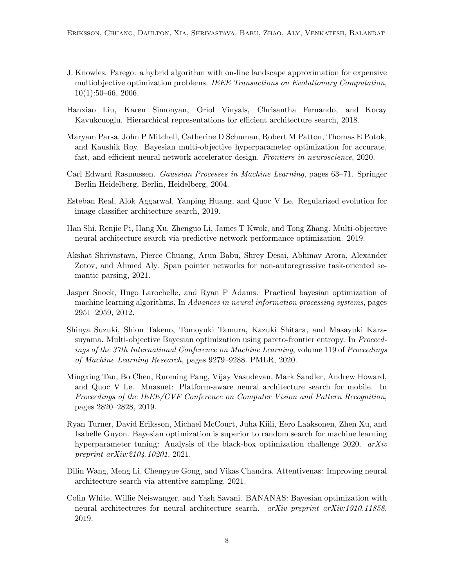- <span id="page-7-11"></span>J. Knowles. Parego: a hybrid algorithm with on-line landscape approximation for expensive multiobjective optimization problems. IEEE Transactions on Evolutionary Computation, 10(1):50–66, 2006.
- <span id="page-7-2"></span>Hanxiao Liu, Karen Simonyan, Oriol Vinyals, Chrisantha Fernando, and Koray Kavukcuoglu. Hierarchical representations for efficient architecture search, 2018.
- <span id="page-7-8"></span>Maryam Parsa, John P Mitchell, Catherine D Schuman, Robert M Patton, Thomas E Potok, and Kaushik Roy. Bayesian multi-objective hyperparameter optimization for accurate, fast, and efficient neural network accelerator design. Frontiers in neuroscience, 2020.
- <span id="page-7-10"></span>Carl Edward Rasmussen. Gaussian Processes in Machine Learning, pages 63–71. Springer Berlin Heidelberg, Berlin, Heidelberg, 2004.
- <span id="page-7-1"></span>Esteban Real, Alok Aggarwal, Yanping Huang, and Quoc V Le. Regularized evolution for image classifier architecture search, 2019.
- <span id="page-7-7"></span>Han Shi, Renjie Pi, Hang Xu, Zhenguo Li, James T Kwok, and Tong Zhang. Multi-objective neural architecture search via predictive network performance optimization. 2019.
- <span id="page-7-9"></span>Akshat Shrivastava, Pierce Chuang, Arun Babu, Shrey Desai, Abhinav Arora, Alexander Zotov, and Ahmed Aly. Span pointer networks for non-autoregressive task-oriented semantic parsing, 2021.
- <span id="page-7-4"></span>Jasper Snoek, Hugo Larochelle, and Ryan P Adams. Practical bayesian optimization of machine learning algorithms. In Advances in neural information processing systems, pages 2951–2959, 2012.
- <span id="page-7-12"></span>Shinya Suzuki, Shion Takeno, Tomoyuki Tamura, Kazuki Shitara, and Masayuki Karasuyama. Multi-objective Bayesian optimization using pareto-frontier entropy. In Proceedings of the 37th International Conference on Machine Learning, volume 119 of Proceedings of Machine Learning Research, pages 9279–9288. PMLR, 2020.
- <span id="page-7-0"></span>Mingxing Tan, Bo Chen, Ruoming Pang, Vijay Vasudevan, Mark Sandler, Andrew Howard, and Quoc V Le. Mnasnet: Platform-aware neural architecture search for mobile. In Proceedings of the IEEE/CVF Conference on Computer Vision and Pattern Recognition, pages 2820–2828, 2019.
- <span id="page-7-5"></span>Ryan Turner, David Eriksson, Michael McCourt, Juha Kiili, Eero Laaksonen, Zhen Xu, and Isabelle Guyon. Bayesian optimization is superior to random search for machine learning hyperparameter tuning: Analysis of the black-box optimization challenge 2020. arXiv preprint arXiv:2104.10201, 2021.
- <span id="page-7-3"></span>Dilin Wang, Meng Li, Chengyue Gong, and Vikas Chandra. Attentivenas: Improving neural architecture search via attentive sampling, 2021.
- <span id="page-7-6"></span>Colin White, Willie Neiswanger, and Yash Savani. BANANAS: Bayesian optimization with neural architectures for neural architecture search. *arXiv preprint arXiv:1910.11858*, 2019.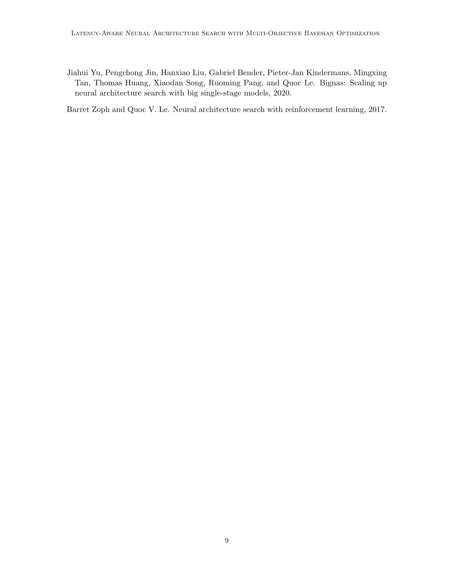<span id="page-8-1"></span>Jiahui Yu, Pengchong Jin, Hanxiao Liu, Gabriel Bender, Pieter-Jan Kindermans, Mingxing Tan, Thomas Huang, Xiaodan Song, Ruoming Pang, and Quoc Le. Bignas: Scaling up neural architecture search with big single-stage models, 2020.

<span id="page-8-0"></span>Barret Zoph and Quoc V. Le. Neural architecture search with reinforcement learning, 2017.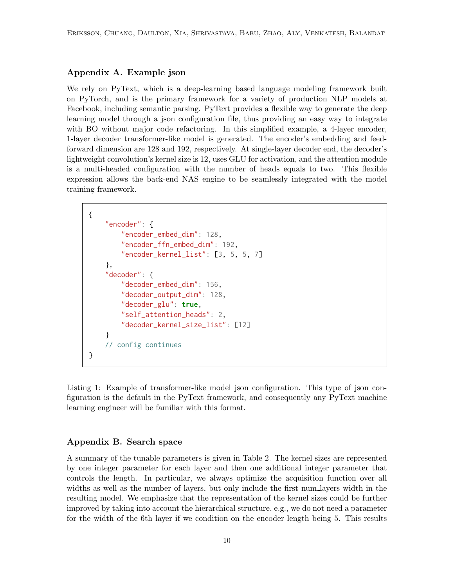# Appendix A. Example json

We rely on PyText, which is a deep-learning based language modeling framework built on PyTorch, and is the primary framework for a variety of production NLP models at Facebook, including semantic parsing. PyText provides a flexible way to generate the deep learning model through a json configuration file, thus providing an easy way to integrate with BO without major code refactoring. In this simplified example, a 4-layer encoder, 1-layer decoder transformer-like model is generated. The encoder's embedding and feedforward dimension are 128 and 192, respectively. At single-layer decoder end, the decoder's lightweight convolution's kernel size is 12, uses GLU for activation, and the attention module is a multi-headed configuration with the number of heads equals to two. This flexible expression allows the back-end NAS engine to be seamlessly integrated with the model training framework.

```
{
    "encoder": {
        "encoder_embed_dim": 128,
        "encoder_ffn_embed_dim": 192,
        "encoder_kernel_list": [3, 5, 5, 7]
    },
    "decoder": {
        "decoder_embed_dim": 156,
        "decoder_output_dim": 128,
        "decoder_glu": true,
        "self_attention_heads": 2,
        "decoder_kernel_size_list": [12]
    }
    // config continues
}
```
Listing 1: Example of transformer-like model json configuration. This type of json configuration is the default in the PyText framework, and consequently any PyText machine learning engineer will be familiar with this format.

### Appendix B. Search space

A summary of the tunable parameters is given in Table [2.](#page-10-0) The kernel sizes are represented by one integer parameter for each layer and then one additional integer parameter that controls the length. In particular, we always optimize the acquisition function over all widths as well as the number of layers, but only include the first num layers width in the resulting model. We emphasize that the representation of the kernel sizes could be further improved by taking into account the hierarchical structure, e.g., we do not need a parameter for the width of the 6th layer if we condition on the encoder length being 5. This results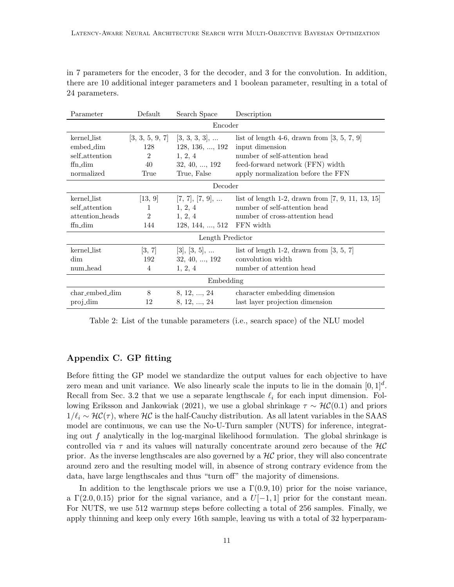in 7 parameters for the encoder, 3 for the decoder, and 3 for the convolution. In addition, there are 10 additional integer parameters and 1 boolean parameter, resulting in a total of 24 parameters.

<span id="page-10-0"></span>

| Parameter        | Default        | Search Space                       | Description                                          |  |
|------------------|----------------|------------------------------------|------------------------------------------------------|--|
| Encoder          |                |                                    |                                                      |  |
| kernel_list      |                | $[3, 3, 5, 9, 7]$ $[3, 3, 3, 3], $ | list of length 4-6, drawn from $[3, 5, 7, 9]$        |  |
| embed_dim        | 128            | $128, 136, \ldots, 192$            | input dimension                                      |  |
| self_attention   | $\overline{2}$ | 1, 2, 4                            | number of self-attention head                        |  |
| ffn dim          | 40             | $32, 40, \ldots, 192$              | feed-forward network (FFN) width                     |  |
| normalized       | True           | True, False                        | apply normalization before the FFN                   |  |
| Decoder          |                |                                    |                                                      |  |
| kernel_list      | [13, 9]        | $[7, 7], [7, 9], \dots$            | list of length 1-2, drawn from $[7, 9, 11, 13, 15]$  |  |
| self_attention   | 1              | 1, 2, 4                            | number of self-attention head                        |  |
| attention_heads  | $\overline{2}$ | 1, 2, 4                            | number of cross-attention head                       |  |
| ffn_dim          | 144            | 128, 144, , 512                    | FFN width                                            |  |
| Length Predictor |                |                                    |                                                      |  |
| kernel_list      | [3, 7]         | $[3], [3, 5], \dots$               | list of length 1-2, drawn from $\vert 3, 5, 7 \vert$ |  |
| dim              | 192            | 32, 40, , 192                      | convolution width                                    |  |
| num_head         | 4              | 1, 2, 4                            | number of attention head                             |  |
| Embedding        |                |                                    |                                                      |  |
| char_embed_dim   | 8              | 8, 12, , 24                        | character embedding dimension                        |  |
| proj_dim         | 12             | 8, 12, , 24                        | last layer projection dimension                      |  |

Table 2: List of the tunable parameters (i.e., search space) of the NLU model

# Appendix C. GP fitting

Before fitting the GP model we standardize the output values for each objective to have zero mean and unit variance. We also linearly scale the inputs to lie in the domain  $[0, 1]^d$ . Recall from Sec. [3.2](#page-3-1) that we use a separate lengthscale  $\ell_i$  for each input dimension. Fol-lowing [Eriksson and Jankowiak \(2021\)](#page-6-8), we use a global shrinkage  $\tau \sim \mathcal{HC}(0.1)$  and priors  $1/\ell_i \sim \mathcal{HC}(\tau)$ , where  $\mathcal{HC}$  is the half-Cauchy distribution. As all latent variables in the SAAS model are continuous, we can use the No-U-Turn sampler (NUTS) for inference, integrating out f analytically in the log-marginal likelihood formulation. The global shrinkage is controlled via  $\tau$  and its values will naturally concentrate around zero because of the  $\mathcal{HC}$ prior. As the inverse lengthscales are also governed by a  $H\mathcal{C}$  prior, they will also concentrate around zero and the resulting model will, in absence of strong contrary evidence from the data, have large lengthscales and thus "turn off" the majority of dimensions.

In addition to the lengthscale priors we use a  $\Gamma(0.9, 10)$  prior for the noise variance, a  $\Gamma(2.0, 0.15)$  prior for the signal variance, and a  $U[-1, 1]$  prior for the constant mean. For NUTS, we use 512 warmup steps before collecting a total of 256 samples. Finally, we apply thinning and keep only every 16th sample, leaving us with a total of 32 hyperparam